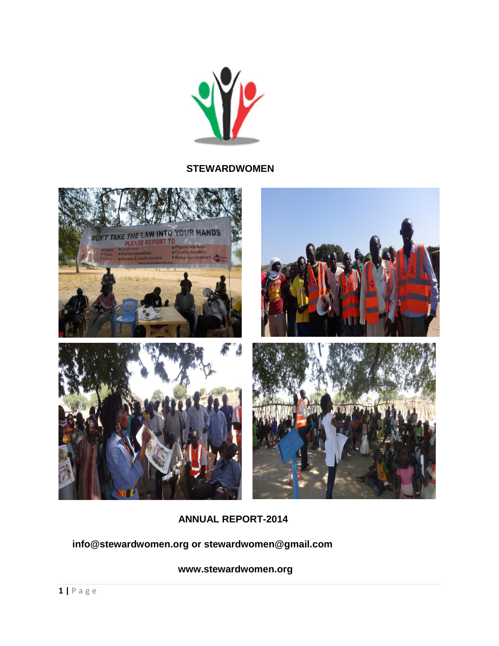

#### **STEWARDWOMEN**



 **ANNUAL REPORT-2014**

#### **info@stewardwomen.org or stewardwomen@gmail.com**

 **[www.stewardwomen.org](http://www.stewardwomen.org/)**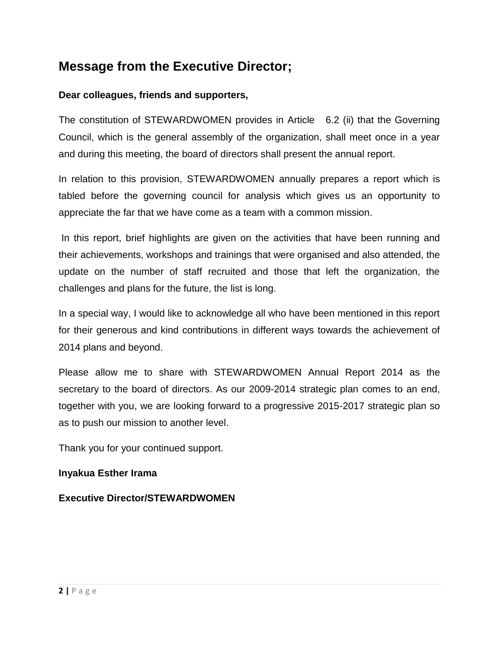# **Message from the Executive Director;**

#### **Dear colleagues, friends and supporters,**

The constitution of STEWARDWOMEN provides in Article 6.2 (ii) that the Governing Council, which is the general assembly of the organization, shall meet once in a year and during this meeting, the board of directors shall present the annual report.

In relation to this provision, STEWARDWOMEN annually prepares a report which is tabled before the governing council for analysis which gives us an opportunity to appreciate the far that we have come as a team with a common mission.

In this report, brief highlights are given on the activities that have been running and their achievements, workshops and trainings that were organised and also attended, the update on the number of staff recruited and those that left the organization, the challenges and plans for the future, the list is long.

In a special way, I would like to acknowledge all who have been mentioned in this report for their generous and kind contributions in different ways towards the achievement of 2014 plans and beyond.

Please allow me to share with STEWARDWOMEN Annual Report 2014 as the secretary to the board of directors. As our 2009-2014 strategic plan comes to an end, together with you, we are looking forward to a progressive 2015-2017 strategic plan so as to push our mission to another level.

Thank you for your continued support.

#### **Inyakua Esther Irama**

**Executive Director/STEWARDWOMEN**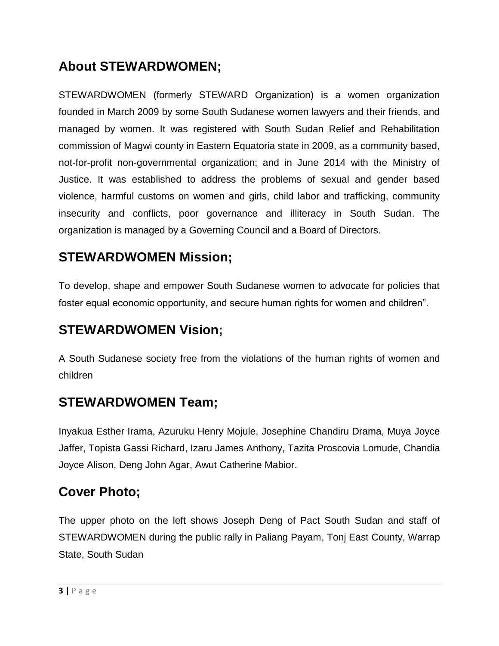# **About STEWARDWOMEN;**

STEWARDWOMEN (formerly STEWARD Organization) is a women organization founded in March 2009 by some South Sudanese women lawyers and their friends, and managed by women. It was registered with South Sudan Relief and Rehabilitation commission of Magwi county in Eastern Equatoria state in 2009, as a community based, not-for-profit non-governmental organization; and in June 2014 with the Ministry of Justice. It was established to address the problems of sexual and gender based violence, harmful customs on women and girls, child labor and trafficking, community insecurity and conflicts, poor governance and illiteracy in South Sudan. The organization is managed by a Governing Council and a Board of Directors.

## **STEWARDWOMEN Mission;**

To develop, shape and empower South Sudanese women to advocate for policies that foster equal economic opportunity, and secure human rights for women and children".

### **STEWARDWOMEN Vision;**

A South Sudanese society free from the violations of the human rights of women and children

### **STEWARDWOMEN Team;**

Inyakua Esther Irama, Azuruku Henry Mojule, Josephine Chandiru Drama, Muya Joyce Jaffer, Topista Gassi Richard, Izaru James Anthony, Tazita Proscovia Lomude, Chandia Joyce Alison, Deng John Agar, Awut Catherine Mabior.

### **Cover Photo;**

The upper photo on the left shows Joseph Deng of Pact South Sudan and staff of STEWARDWOMEN during the public rally in Paliang Payam, Tonj East County, Warrap State, South Sudan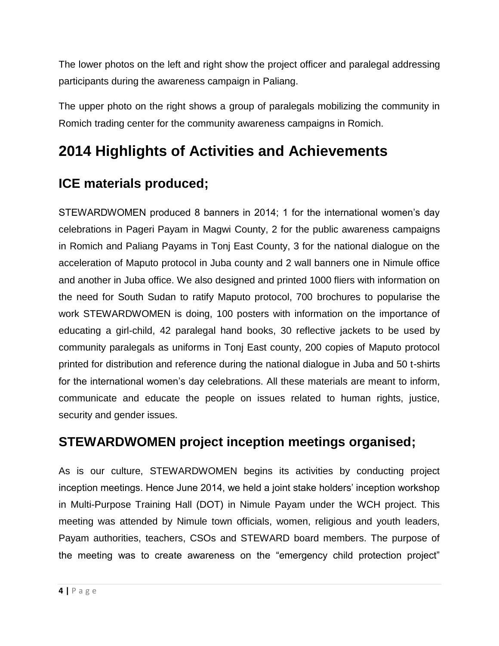The lower photos on the left and right show the project officer and paralegal addressing participants during the awareness campaign in Paliang.

The upper photo on the right shows a group of paralegals mobilizing the community in Romich trading center for the community awareness campaigns in Romich.

# **2014 Highlights of Activities and Achievements**

# **ICE materials produced;**

STEWARDWOMEN produced 8 banners in 2014; 1 for the international women"s day celebrations in Pageri Payam in Magwi County, 2 for the public awareness campaigns in Romich and Paliang Payams in Tonj East County, 3 for the national dialogue on the acceleration of Maputo protocol in Juba county and 2 wall banners one in Nimule office and another in Juba office. We also designed and printed 1000 fliers with information on the need for South Sudan to ratify Maputo protocol, 700 brochures to popularise the work STEWARDWOMEN is doing, 100 posters with information on the importance of educating a girl-child, 42 paralegal hand books, 30 reflective jackets to be used by community paralegals as uniforms in Tonj East county, 200 copies of Maputo protocol printed for distribution and reference during the national dialogue in Juba and 50 t-shirts for the international women's day celebrations. All these materials are meant to inform, communicate and educate the people on issues related to human rights, justice, security and gender issues.

# **STEWARDWOMEN project inception meetings organised;**

As is our culture, STEWARDWOMEN begins its activities by conducting project inception meetings. Hence June 2014, we held a joint stake holders' inception workshop in Multi-Purpose Training Hall (DOT) in Nimule Payam under the WCH project. This meeting was attended by Nimule town officials, women, religious and youth leaders, Payam authorities, teachers, CSOs and STEWARD board members. The purpose of the meeting was to create awareness on the "emergency child protection project"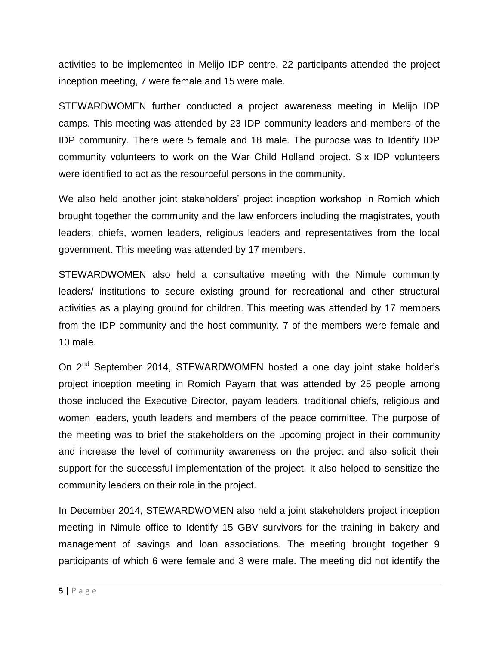activities to be implemented in Melijo IDP centre. 22 participants attended the project inception meeting, 7 were female and 15 were male.

STEWARDWOMEN further conducted a project awareness meeting in Melijo IDP camps. This meeting was attended by 23 IDP community leaders and members of the IDP community. There were 5 female and 18 male. The purpose was to Identify IDP community volunteers to work on the War Child Holland project. Six IDP volunteers were identified to act as the resourceful persons in the community.

We also held another joint stakeholders' project inception workshop in Romich which brought together the community and the law enforcers including the magistrates, youth leaders, chiefs, women leaders, religious leaders and representatives from the local government. This meeting was attended by 17 members.

STEWARDWOMEN also held a consultative meeting with the Nimule community leaders/ institutions to secure existing ground for recreational and other structural activities as a playing ground for children. This meeting was attended by 17 members from the IDP community and the host community. 7 of the members were female and 10 male.

On 2<sup>nd</sup> September 2014, STEWARDWOMEN hosted a one day joint stake holder's project inception meeting in Romich Payam that was attended by 25 people among those included the Executive Director, payam leaders, traditional chiefs, religious and women leaders, youth leaders and members of the peace committee. The purpose of the meeting was to brief the stakeholders on the upcoming project in their community and increase the level of community awareness on the project and also solicit their support for the successful implementation of the project. It also helped to sensitize the community leaders on their role in the project.

In December 2014, STEWARDWOMEN also held a joint stakeholders project inception meeting in Nimule office to Identify 15 GBV survivors for the training in bakery and management of savings and loan associations. The meeting brought together 9 participants of which 6 were female and 3 were male. The meeting did not identify the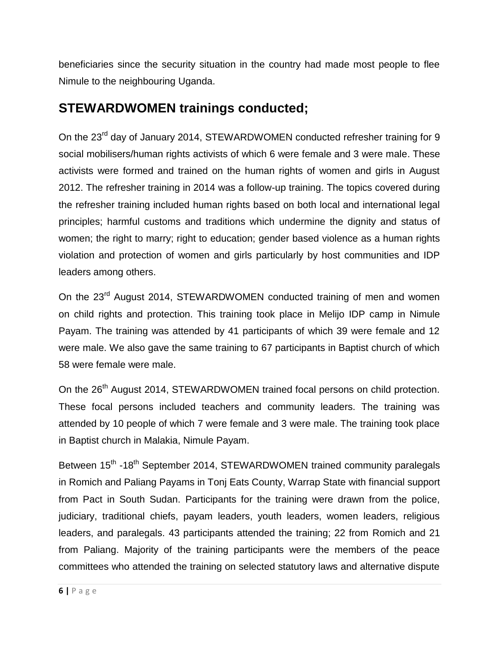beneficiaries since the security situation in the country had made most people to flee Nimule to the neighbouring Uganda.

# **STEWARDWOMEN trainings conducted;**

On the 23<sup>rd</sup> day of January 2014, STEWARDWOMEN conducted refresher training for 9 social mobilisers/human rights activists of which 6 were female and 3 were male. These activists were formed and trained on the human rights of women and girls in August 2012. The refresher training in 2014 was a follow-up training. The topics covered during the refresher training included human rights based on both local and international legal principles; harmful customs and traditions which undermine the dignity and status of women; the right to marry; right to education; gender based violence as a human rights violation and protection of women and girls particularly by host communities and IDP leaders among others.

On the 23<sup>rd</sup> August 2014, STEWARDWOMEN conducted training of men and women on child rights and protection. This training took place in Melijo IDP camp in Nimule Payam. The training was attended by 41 participants of which 39 were female and 12 were male. We also gave the same training to 67 participants in Baptist church of which 58 were female were male.

On the 26<sup>th</sup> August 2014, STEWARDWOMEN trained focal persons on child protection. These focal persons included teachers and community leaders. The training was attended by 10 people of which 7 were female and 3 were male. The training took place in Baptist church in Malakia, Nimule Payam.

Between 15<sup>th</sup> -18<sup>th</sup> September 2014, STEWARDWOMEN trained community paralegals in Romich and Paliang Payams in Tonj Eats County, Warrap State with financial support from Pact in South Sudan. Participants for the training were drawn from the police, judiciary, traditional chiefs, payam leaders, youth leaders, women leaders, religious leaders, and paralegals. 43 participants attended the training; 22 from Romich and 21 from Paliang. Majority of the training participants were the members of the peace committees who attended the training on selected statutory laws and alternative dispute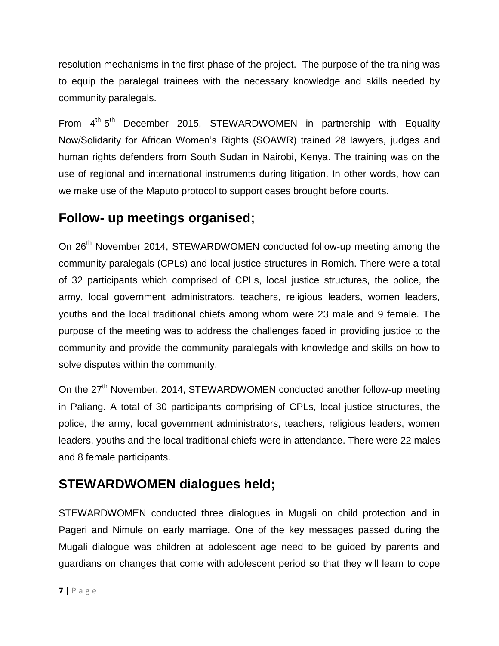resolution mechanisms in the first phase of the project. The purpose of the training was to equip the paralegal trainees with the necessary knowledge and skills needed by community paralegals.

From 4<sup>th</sup>-5<sup>th</sup> December 2015, STEWARDWOMEN in partnership with Equality Now/Solidarity for African Women"s Rights (SOAWR) trained 28 lawyers, judges and human rights defenders from South Sudan in Nairobi, Kenya. The training was on the use of regional and international instruments during litigation. In other words, how can we make use of the Maputo protocol to support cases brought before courts.

### **Follow- up meetings organised;**

On 26<sup>th</sup> November 2014, STEWARDWOMEN conducted follow-up meeting among the community paralegals (CPLs) and local justice structures in Romich. There were a total of 32 participants which comprised of CPLs, local justice structures, the police, the army, local government administrators, teachers, religious leaders, women leaders, youths and the local traditional chiefs among whom were 23 male and 9 female. The purpose of the meeting was to address the challenges faced in providing justice to the community and provide the community paralegals with knowledge and skills on how to solve disputes within the community.

On the 27<sup>th</sup> November, 2014, STEWARDWOMEN conducted another follow-up meeting in Paliang. A total of 30 participants comprising of CPLs, local justice structures, the police, the army, local government administrators, teachers, religious leaders, women leaders, youths and the local traditional chiefs were in attendance. There were 22 males and 8 female participants.

# **STEWARDWOMEN dialogues held;**

STEWARDWOMEN conducted three dialogues in Mugali on child protection and in Pageri and Nimule on early marriage. One of the key messages passed during the Mugali dialogue was children at adolescent age need to be guided by parents and guardians on changes that come with adolescent period so that they will learn to cope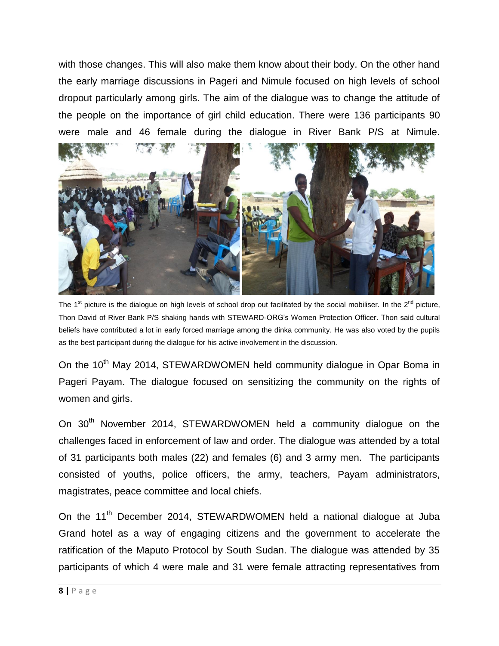with those changes. This will also make them know about their body. On the other hand the early marriage discussions in Pageri and Nimule focused on high levels of school dropout particularly among girls. The aim of the dialogue was to change the attitude of the people on the importance of girl child education. There were 136 participants 90 were male and 46 female during the dialogue in River Bank P/S at Nimule.



The 1<sup>st</sup> picture is the dialogue on high levels of school drop out facilitated by the social mobiliser. In the 2<sup>nd</sup> picture, Thon David of River Bank P/S shaking hands with STEWARD-ORG"s Women Protection Officer. Thon said cultural beliefs have contributed a lot in early forced marriage among the dinka community. He was also voted by the pupils as the best participant during the dialogue for his active involvement in the discussion.

On the 10<sup>th</sup> May 2014, STEWARDWOMEN held community dialogue in Opar Boma in Pageri Payam. The dialogue focused on sensitizing the community on the rights of women and girls.

On 30<sup>th</sup> November 2014, STEWARDWOMEN held a community dialogue on the challenges faced in enforcement of law and order. The dialogue was attended by a total of 31 participants both males (22) and females (6) and 3 army men. The participants consisted of youths, police officers, the army, teachers, Payam administrators, magistrates, peace committee and local chiefs.

On the 11<sup>th</sup> December 2014, STEWARDWOMEN held a national dialogue at Juba Grand hotel as a way of engaging citizens and the government to accelerate the ratification of the Maputo Protocol by South Sudan. The dialogue was attended by 35 participants of which 4 were male and 31 were female attracting representatives from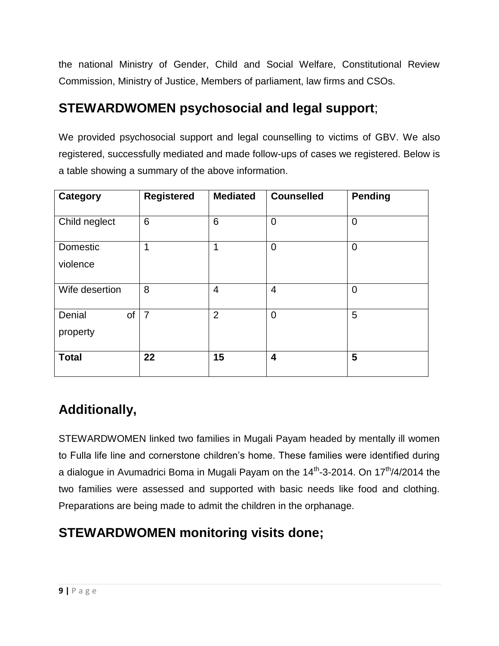the national Ministry of Gender, Child and Social Welfare, Constitutional Review Commission, Ministry of Justice, Members of parliament, law firms and CSOs.

# **STEWARDWOMEN psychosocial and legal support**;

We provided psychosocial support and legal counselling to victims of GBV. We also registered, successfully mediated and made follow-ups of cases we registered. Below is a table showing a summary of the above information.

| <b>Category</b>          | <b>Registered</b> | <b>Mediated</b> | <b>Counselled</b>       | <b>Pending</b> |
|--------------------------|-------------------|-----------------|-------------------------|----------------|
| Child neglect            | 6                 | 6               | $\overline{0}$          | $\mathbf 0$    |
| Domestic<br>violence     | 1                 | 1               | $\overline{0}$          | $\overline{0}$ |
| Wife desertion           | 8                 | $\overline{4}$  | $\overline{4}$          | $\overline{0}$ |
| Denial<br>of<br>property | $\overline{7}$    | $\overline{2}$  | $\overline{0}$          | 5              |
| <b>Total</b>             | 22                | 15              | $\overline{\mathbf{4}}$ | 5              |

# **Additionally,**

STEWARDWOMEN linked two families in Mugali Payam headed by mentally ill women to Fulla life line and cornerstone children"s home. These families were identified during a dialogue in Avumadrici Boma in Mugali Payam on the 14<sup>th</sup>-3-2014. On 17<sup>th</sup>/4/2014 the two families were assessed and supported with basic needs like food and clothing. Preparations are being made to admit the children in the orphanage.

# **STEWARDWOMEN monitoring visits done;**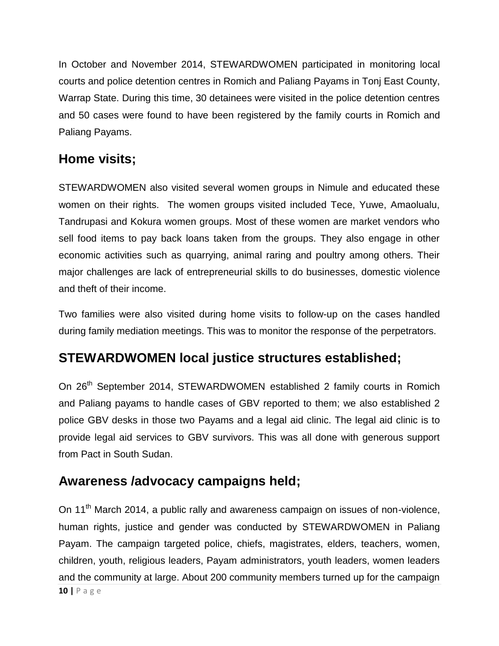In October and November 2014, STEWARDWOMEN participated in monitoring local courts and police detention centres in Romich and Paliang Payams in Tonj East County, Warrap State. During this time, 30 detainees were visited in the police detention centres and 50 cases were found to have been registered by the family courts in Romich and Paliang Payams.

# **Home visits;**

STEWARDWOMEN also visited several women groups in Nimule and educated these women on their rights. The women groups visited included Tece, Yuwe, Amaolualu, Tandrupasi and Kokura women groups. Most of these women are market vendors who sell food items to pay back loans taken from the groups. They also engage in other economic activities such as quarrying, animal raring and poultry among others. Their major challenges are lack of entrepreneurial skills to do businesses, domestic violence and theft of their income.

Two families were also visited during home visits to follow-up on the cases handled during family mediation meetings. This was to monitor the response of the perpetrators.

# **STEWARDWOMEN local justice structures established;**

On 26<sup>th</sup> September 2014, STEWARDWOMEN established 2 family courts in Romich and Paliang payams to handle cases of GBV reported to them; we also established 2 police GBV desks in those two Payams and a legal aid clinic. The legal aid clinic is to provide legal aid services to GBV survivors. This was all done with generous support from Pact in South Sudan.

### **Awareness /advocacy campaigns held;**

**10 |** P a g e On 11<sup>th</sup> March 2014, a public rally and awareness campaign on issues of non-violence, human rights, justice and gender was conducted by STEWARDWOMEN in Paliang Payam. The campaign targeted police, chiefs, magistrates, elders, teachers, women, children, youth, religious leaders, Payam administrators, youth leaders, women leaders and the community at large. About 200 community members turned up for the campaign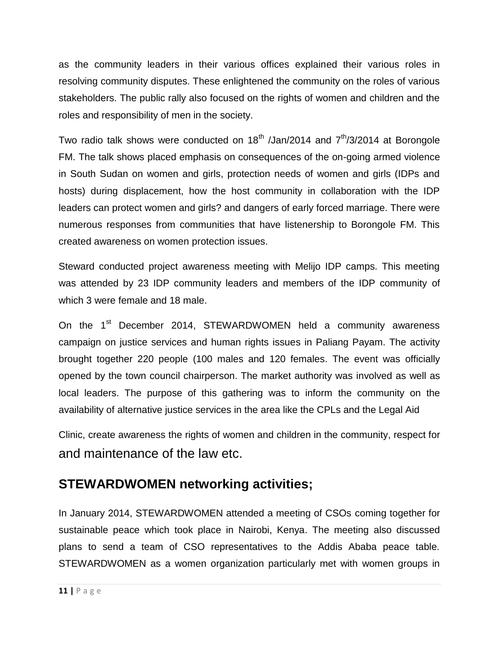as the community leaders in their various offices explained their various roles in resolving community disputes. These enlightened the community on the roles of various stakeholders. The public rally also focused on the rights of women and children and the roles and responsibility of men in the society.

Two radio talk shows were conducted on  $18<sup>th</sup>$  /Jan/2014 and  $7<sup>th</sup>/3/2014$  at Borongole FM. The talk shows placed emphasis on consequences of the on-going armed violence in South Sudan on women and girls, protection needs of women and girls (IDPs and hosts) during displacement, how the host community in collaboration with the IDP leaders can protect women and girls? and dangers of early forced marriage. There were numerous responses from communities that have listenership to Borongole FM. This created awareness on women protection issues.

Steward conducted project awareness meeting with Melijo IDP camps. This meeting was attended by 23 IDP community leaders and members of the IDP community of which 3 were female and 18 male.

On the 1<sup>st</sup> December 2014, STEWARDWOMEN held a community awareness campaign on justice services and human rights issues in Paliang Payam. The activity brought together 220 people (100 males and 120 females. The event was officially opened by the town council chairperson. The market authority was involved as well as local leaders. The purpose of this gathering was to inform the community on the availability of alternative justice services in the area like the CPLs and the Legal Aid

Clinic, create awareness the rights of women and children in the community, respect for and maintenance of the law etc.

#### **STEWARDWOMEN networking activities;**

In January 2014, STEWARDWOMEN attended a meeting of CSOs coming together for sustainable peace which took place in Nairobi, Kenya. The meeting also discussed plans to send a team of CSO representatives to the Addis Ababa peace table. STEWARDWOMEN as a women organization particularly met with women groups in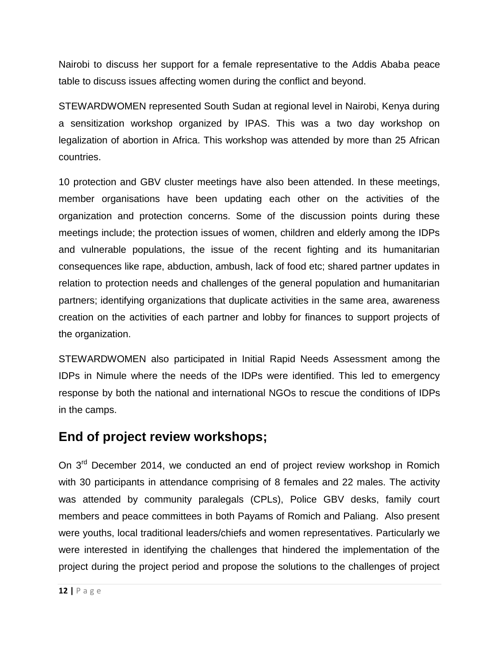Nairobi to discuss her support for a female representative to the Addis Ababa peace table to discuss issues affecting women during the conflict and beyond.

STEWARDWOMEN represented South Sudan at regional level in Nairobi, Kenya during a sensitization workshop organized by IPAS. This was a two day workshop on legalization of abortion in Africa. This workshop was attended by more than 25 African countries.

10 protection and GBV cluster meetings have also been attended. In these meetings, member organisations have been updating each other on the activities of the organization and protection concerns. Some of the discussion points during these meetings include; the protection issues of women, children and elderly among the IDPs and vulnerable populations, the issue of the recent fighting and its humanitarian consequences like rape, abduction, ambush, lack of food etc; shared partner updates in relation to protection needs and challenges of the general population and humanitarian partners; identifying organizations that duplicate activities in the same area, awareness creation on the activities of each partner and lobby for finances to support projects of the organization.

STEWARDWOMEN also participated in Initial Rapid Needs Assessment among the IDPs in Nimule where the needs of the IDPs were identified. This led to emergency response by both the national and international NGOs to rescue the conditions of IDPs in the camps.

#### **End of project review workshops;**

On 3<sup>rd</sup> December 2014, we conducted an end of project review workshop in Romich with 30 participants in attendance comprising of 8 females and 22 males. The activity was attended by community paralegals (CPLs), Police GBV desks, family court members and peace committees in both Payams of Romich and Paliang. Also present were youths, local traditional leaders/chiefs and women representatives. Particularly we were interested in identifying the challenges that hindered the implementation of the project during the project period and propose the solutions to the challenges of project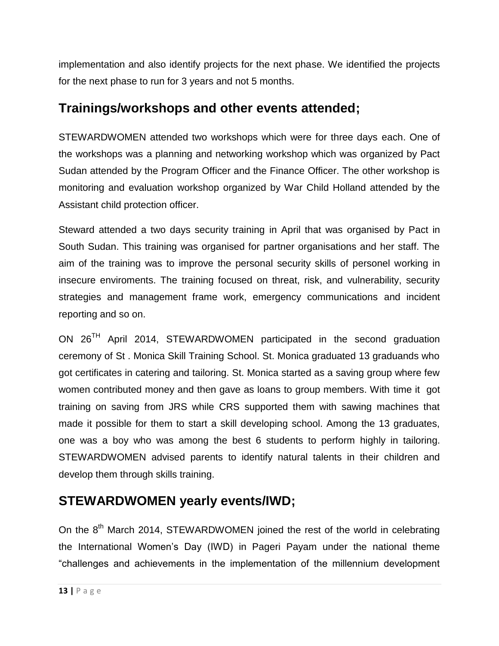implementation and also identify projects for the next phase. We identified the projects for the next phase to run for 3 years and not 5 months.

### **Trainings/workshops and other events attended;**

STEWARDWOMEN attended two workshops which were for three days each. One of the workshops was a planning and networking workshop which was organized by Pact Sudan attended by the Program Officer and the Finance Officer. The other workshop is monitoring and evaluation workshop organized by War Child Holland attended by the Assistant child protection officer.

Steward attended a two days security training in April that was organised by Pact in South Sudan. This training was organised for partner organisations and her staff. The aim of the training was to improve the personal security skills of personel working in insecure enviroments. The training focused on threat, risk, and vulnerability, security strategies and management frame work, emergency communications and incident reporting and so on.

ON 26TH April 2014, STEWARDWOMEN participated in the second graduation ceremony of St . Monica Skill Training School. St. Monica graduated 13 graduands who got certificates in catering and tailoring. St. Monica started as a saving group where few women contributed money and then gave as loans to group members. With time it got training on saving from JRS while CRS supported them with sawing machines that made it possible for them to start a skill developing school. Among the 13 graduates, one was a boy who was among the best 6 students to perform highly in tailoring. STEWARDWOMEN advised parents to identify natural talents in their children and develop them through skills training.

# **STEWARDWOMEN yearly events/IWD;**

On the 8<sup>th</sup> March 2014, STEWARDWOMEN joined the rest of the world in celebrating the International Women"s Day (IWD) in Pageri Payam under the national theme "challenges and achievements in the implementation of the millennium development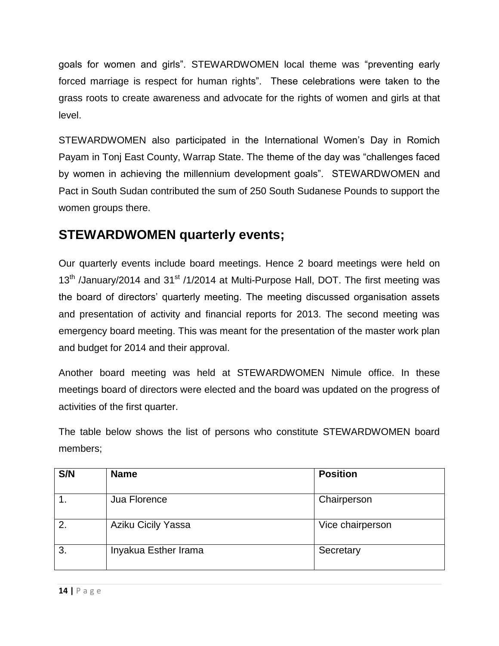goals for women and girls". STEWARDWOMEN local theme was "preventing early forced marriage is respect for human rights". These celebrations were taken to the grass roots to create awareness and advocate for the rights of women and girls at that level.

STEWARDWOMEN also participated in the International Women"s Day in Romich Payam in Tonj East County, Warrap State. The theme of the day was "challenges faced by women in achieving the millennium development goals". STEWARDWOMEN and Pact in South Sudan contributed the sum of 250 South Sudanese Pounds to support the women groups there.

## **STEWARDWOMEN quarterly events;**

Our quarterly events include board meetings. Hence 2 board meetings were held on 13<sup>th</sup> /January/2014 and 31<sup>st</sup> /1/2014 at Multi-Purpose Hall, DOT. The first meeting was the board of directors" quarterly meeting. The meeting discussed organisation assets and presentation of activity and financial reports for 2013. The second meeting was emergency board meeting. This was meant for the presentation of the master work plan and budget for 2014 and their approval.

Another board meeting was held at STEWARDWOMEN Nimule office. In these meetings board of directors were elected and the board was updated on the progress of activities of the first quarter.

The table below shows the list of persons who constitute STEWARDWOMEN board members;

| S/N | <b>Name</b>               | <b>Position</b>  |
|-----|---------------------------|------------------|
|     | Jua Florence              | Chairperson      |
| 2.  | <b>Aziku Cicily Yassa</b> | Vice chairperson |
| 3.  | Inyakua Esther Irama      | Secretary        |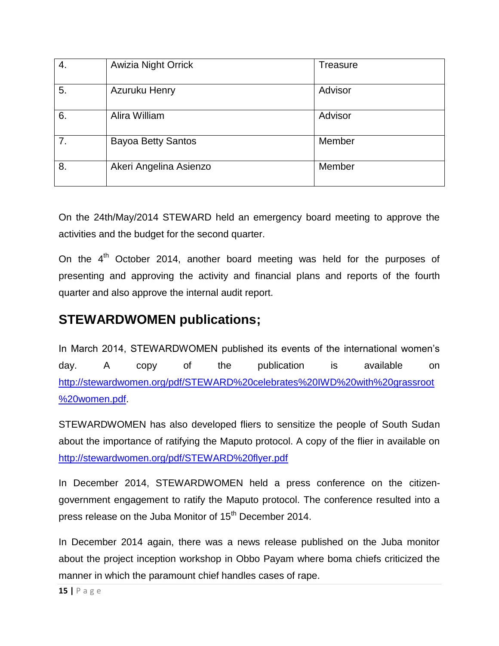| 4. | <b>Awizia Night Orrick</b> | Treasure |
|----|----------------------------|----------|
| 5. | Azuruku Henry              | Advisor  |
| 6. | Alira William              | Advisor  |
| 7. | <b>Bayoa Betty Santos</b>  | Member   |
| 8. | Akeri Angelina Asienzo     | Member   |

On the 24th/May/2014 STEWARD held an emergency board meeting to approve the activities and the budget for the second quarter.

On the  $4<sup>th</sup>$  October 2014, another board meeting was held for the purposes of presenting and approving the activity and financial plans and reports of the fourth quarter and also approve the internal audit report.

### **STEWARDWOMEN publications;**

In March 2014, STEWARDWOMEN published its events of the international women"s day. A copy of the publication is available on [http://stewardwomen.org/pdf/STEWARD%20celebrates%20IWD%20with%20grassroot](http://stewardwomen.org/pdf/STEWARD%20celebrates%20IWD%20with%20grassroot%20women.pdf) [%20women.pdf.](http://stewardwomen.org/pdf/STEWARD%20celebrates%20IWD%20with%20grassroot%20women.pdf)

STEWARDWOMEN has also developed fliers to sensitize the people of South Sudan about the importance of ratifying the Maputo protocol. A copy of the flier in available on <http://stewardwomen.org/pdf/STEWARD%20flyer.pdf>

In December 2014, STEWARDWOMEN held a press conference on the citizengovernment engagement to ratify the Maputo protocol. The conference resulted into a press release on the Juba Monitor of 15<sup>th</sup> December 2014.

In December 2014 again, there was a news release published on the Juba monitor about the project inception workshop in Obbo Payam where boma chiefs criticized the manner in which the paramount chief handles cases of rape.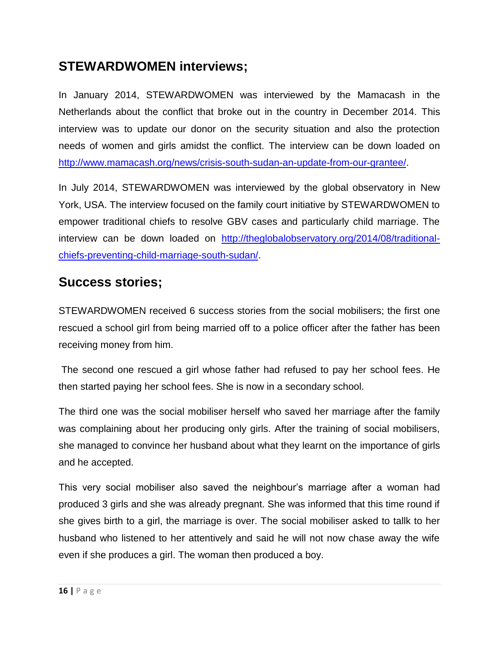## **STEWARDWOMEN interviews;**

In January 2014, STEWARDWOMEN was interviewed by the Mamacash in the Netherlands about the conflict that broke out in the country in December 2014. This interview was to update our donor on the security situation and also the protection needs of women and girls amidst the conflict. The interview can be down loaded on [http://www.mamacash.org/news/crisis-south-sudan-an-update-from-our-grantee/.](http://www.mamacash.org/news/crisis-south-sudan-an-update-from-our-grantee/)

In July 2014, STEWARDWOMEN was interviewed by the global observatory in New York, USA. The interview focused on the family court initiative by STEWARDWOMEN to empower traditional chiefs to resolve GBV cases and particularly child marriage. The interview can be down loaded on [http://theglobalobservatory.org/2014/08/traditional](http://theglobalobservatory.org/2014/08/traditional-chiefs-preventing-child-marriage-south-sudan/)[chiefs-preventing-child-marriage-south-sudan/.](http://theglobalobservatory.org/2014/08/traditional-chiefs-preventing-child-marriage-south-sudan/)

## **Success stories;**

STEWARDWOMEN received 6 success stories from the social mobilisers; the first one rescued a school girl from being married off to a police officer after the father has been receiving money from him.

The second one rescued a girl whose father had refused to pay her school fees. He then started paying her school fees. She is now in a secondary school.

The third one was the social mobiliser herself who saved her marriage after the family was complaining about her producing only girls. After the training of social mobilisers, she managed to convince her husband about what they learnt on the importance of girls and he accepted.

This very social mobiliser also saved the neighbour"s marriage after a woman had produced 3 girls and she was already pregnant. She was informed that this time round if she gives birth to a girl, the marriage is over. The social mobiliser asked to tallk to her husband who listened to her attentively and said he will not now chase away the wife even if she produces a girl. The woman then produced a boy.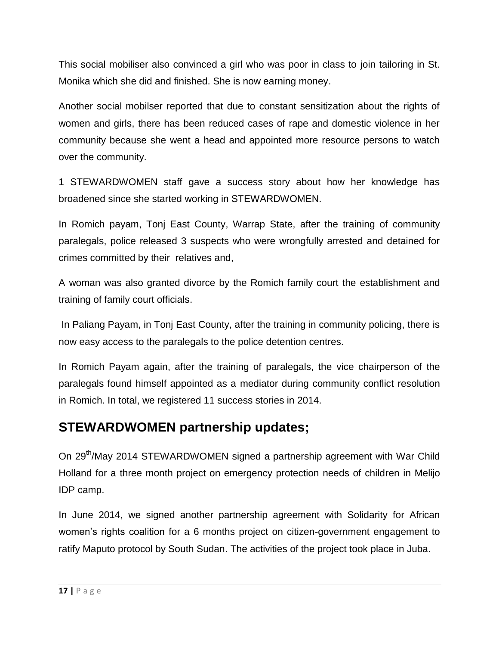This social mobiliser also convinced a girl who was poor in class to join tailoring in St. Monika which she did and finished. She is now earning money.

Another social mobilser reported that due to constant sensitization about the rights of women and girls, there has been reduced cases of rape and domestic violence in her community because she went a head and appointed more resource persons to watch over the community.

1 STEWARDWOMEN staff gave a success story about how her knowledge has broadened since she started working in STEWARDWOMEN.

In Romich payam, Tonj East County, Warrap State, after the training of community paralegals, police released 3 suspects who were wrongfully arrested and detained for crimes committed by their relatives and,

A woman was also granted divorce by the Romich family court the establishment and training of family court officials.

In Paliang Payam, in Tonj East County, after the training in community policing, there is now easy access to the paralegals to the police detention centres.

In Romich Payam again, after the training of paralegals, the vice chairperson of the paralegals found himself appointed as a mediator during community conflict resolution in Romich. In total, we registered 11 success stories in 2014.

### **STEWARDWOMEN partnership updates;**

On 29<sup>th</sup>/May 2014 STEWARDWOMEN signed a partnership agreement with War Child Holland for a three month project on emergency protection needs of children in Melijo IDP camp.

In June 2014, we signed another partnership agreement with Solidarity for African women's rights coalition for a 6 months project on citizen-government engagement to ratify Maputo protocol by South Sudan. The activities of the project took place in Juba.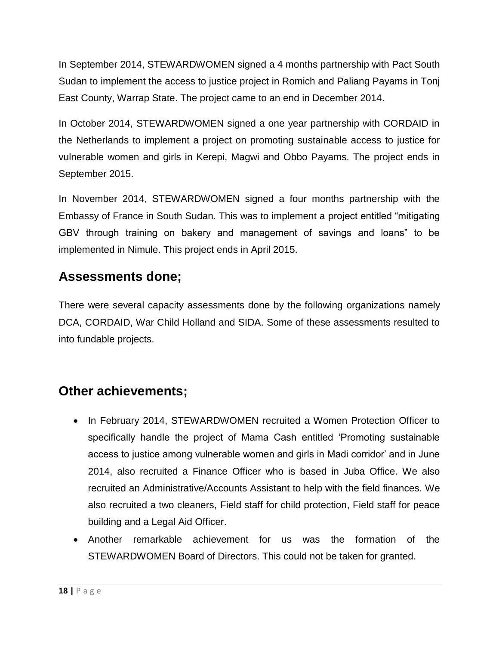In September 2014, STEWARDWOMEN signed a 4 months partnership with Pact South Sudan to implement the access to justice project in Romich and Paliang Payams in Tonj East County, Warrap State. The project came to an end in December 2014.

In October 2014, STEWARDWOMEN signed a one year partnership with CORDAID in the Netherlands to implement a project on promoting sustainable access to justice for vulnerable women and girls in Kerepi, Magwi and Obbo Payams. The project ends in September 2015.

In November 2014, STEWARDWOMEN signed a four months partnership with the Embassy of France in South Sudan. This was to implement a project entitled "mitigating GBV through training on bakery and management of savings and loans" to be implemented in Nimule. This project ends in April 2015.

### **Assessments done;**

There were several capacity assessments done by the following organizations namely DCA, CORDAID, War Child Holland and SIDA. Some of these assessments resulted to into fundable projects.

# **Other achievements;**

- In February 2014, STEWARDWOMEN recruited a Women Protection Officer to specifically handle the project of Mama Cash entitled "Promoting sustainable access to justice among vulnerable women and girls in Madi corridor" and in June 2014, also recruited a Finance Officer who is based in Juba Office. We also recruited an Administrative/Accounts Assistant to help with the field finances. We also recruited a two cleaners, Field staff for child protection, Field staff for peace building and a Legal Aid Officer.
- Another remarkable achievement for us was the formation of the STEWARDWOMEN Board of Directors. This could not be taken for granted.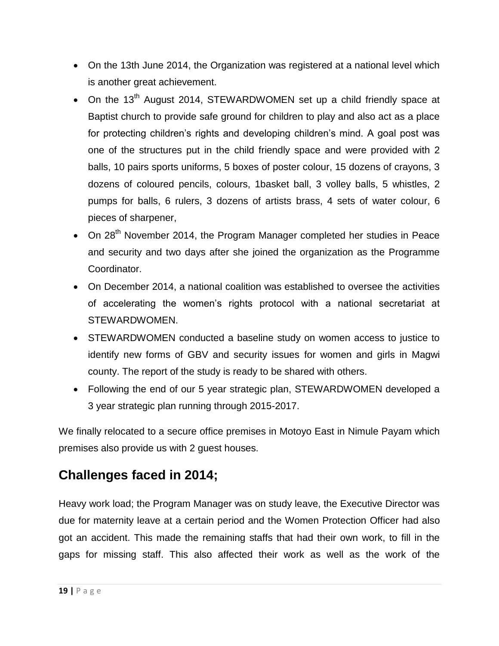- On the 13th June 2014, the Organization was registered at a national level which is another great achievement.
- On the 13<sup>th</sup> August 2014, STEWARDWOMEN set up a child friendly space at Baptist church to provide safe ground for children to play and also act as a place for protecting children's rights and developing children's mind. A goal post was one of the structures put in the child friendly space and were provided with 2 balls, 10 pairs sports uniforms, 5 boxes of poster colour, 15 dozens of crayons, 3 dozens of coloured pencils, colours, 1basket ball, 3 volley balls, 5 whistles, 2 pumps for balls, 6 rulers, 3 dozens of artists brass, 4 sets of water colour, 6 pieces of sharpener,
- On 28<sup>th</sup> November 2014, the Program Manager completed her studies in Peace and security and two days after she joined the organization as the Programme Coordinator.
- On December 2014, a national coalition was established to oversee the activities of accelerating the women"s rights protocol with a national secretariat at STEWARDWOMEN.
- STEWARDWOMEN conducted a baseline study on women access to justice to identify new forms of GBV and security issues for women and girls in Magwi county. The report of the study is ready to be shared with others.
- Following the end of our 5 year strategic plan, STEWARDWOMEN developed a 3 year strategic plan running through 2015-2017.

We finally relocated to a secure office premises in Motoyo East in Nimule Payam which premises also provide us with 2 guest houses.

# **Challenges faced in 2014;**

Heavy work load; the Program Manager was on study leave, the Executive Director was due for maternity leave at a certain period and the Women Protection Officer had also got an accident. This made the remaining staffs that had their own work, to fill in the gaps for missing staff. This also affected their work as well as the work of the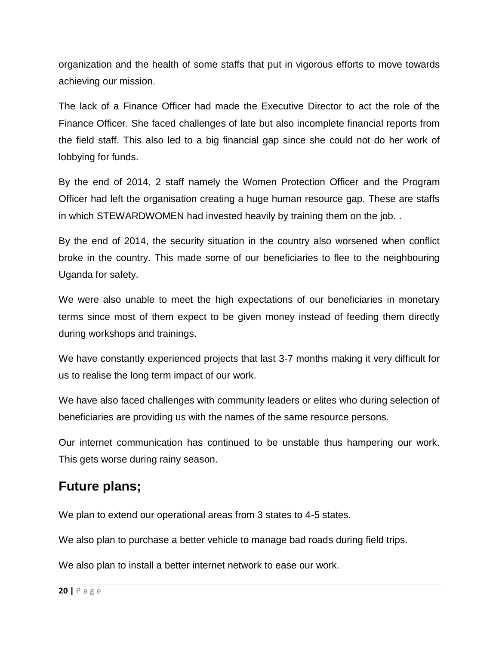organization and the health of some staffs that put in vigorous efforts to move towards achieving our mission.

The lack of a Finance Officer had made the Executive Director to act the role of the Finance Officer. She faced challenges of late but also incomplete financial reports from the field staff. This also led to a big financial gap since she could not do her work of lobbying for funds.

By the end of 2014, 2 staff namely the Women Protection Officer and the Program Officer had left the organisation creating a huge human resource gap. These are staffs in which STEWARDWOMEN had invested heavily by training them on the job. .

By the end of 2014, the security situation in the country also worsened when conflict broke in the country. This made some of our beneficiaries to flee to the neighbouring Uganda for safety.

We were also unable to meet the high expectations of our beneficiaries in monetary terms since most of them expect to be given money instead of feeding them directly during workshops and trainings.

We have constantly experienced projects that last 3-7 months making it very difficult for us to realise the long term impact of our work.

We have also faced challenges with community leaders or elites who during selection of beneficiaries are providing us with the names of the same resource persons.

Our internet communication has continued to be unstable thus hampering our work. This gets worse during rainy season.

### **Future plans;**

We plan to extend our operational areas from 3 states to 4-5 states.

We also plan to purchase a better vehicle to manage bad roads during field trips.

We also plan to install a better internet network to ease our work.